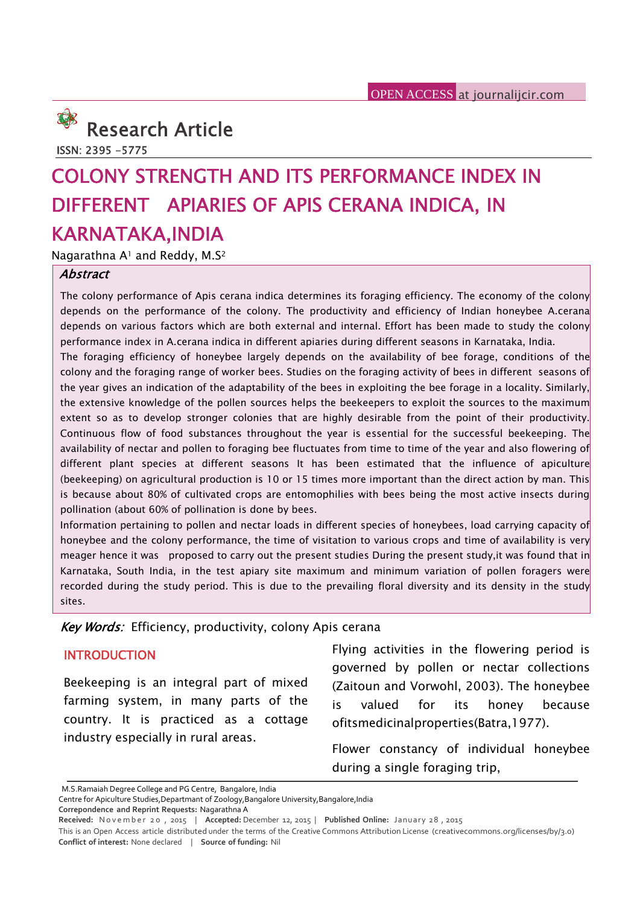

**ISSN: 2395 -5775**

# **COLONY STRENGTH AND ITS PERFORMANCE INDEX IN DIFFERENT APIARIES OF APIS CERANA INDICA, IN KARNATAKA,INDIA**

Nagarathna A<sup>1</sup> and Reddy, M.S<sup>2</sup>

#### *Abstract*

The colony performance of Apis cerana indica determines its foraging efficiency. The economy of the colony depends on the performance of the colony. The productivity and efficiency of Indian honeybee A.cerana depends on various factors which are both external and internal. Effort has been made to study the colony performance index in A.cerana indica in different apiaries during different seasons in Karnataka, India.

The foraging efficiency of honeybee largely depends on the availability of bee forage, conditions of the colony and the foraging range of worker bees. Studies on the foraging activity of bees in different seasons of the year gives an indication of the adaptability of the bees in exploiting the bee forage in a locality. Similarly, the extensive knowledge of the pollen sources helps the beekeepers to exploit the sources to the maximum extent so as to develop stronger colonies that are highly desirable from the point of their productivity. Continuous flow of food substances throughout the year is essential for the successful beekeeping. The availability of nectar and pollen to foraging bee fluctuates from time to time of the year and also flowering of different plant species at different seasons It has been estimated that the influence of apiculture (beekeeping) on agricultural production is 10 or 15 times more important than the direct action by man. This is because about 80% of cultivated crops are entomophilies with bees being the most active insects during pollination (about 60% of pollination is done by bees.

Information pertaining to pollen and nectar loads in different species of honeybees, load carrying capacity of honeybee and the colony performance, the time of visitation to various crops and time of availability is very meager hence it was proposed to carry out the present studies During the present study,it was found that in Karnataka, South India, in the test apiary site maximum and minimum variation of pollen foragers were recorded during the study period. This is due to the prevailing floral diversity and its density in the study sites.

*Key Words:* Efficiency, productivity, colony Apis cerana

### **INTRODUCTION**

Beekeeping is an integral part of mixed farming system, in many parts of the is country. It is practiced as a cottage industry especially in rural areas.

Flying activities in the flowering period is governed by pollen or nectar collections (Zaitoun and Vorwohl, 2003). The honeybee valued for its honey because ofitsmedicinalproperties(Batra,1977).

Flower constancy of individual honeybee during a single foraging trip,

**Correpondence and Reprint Requests:** Nagarathna A

M.S.Ramaiah Degree College and PG Centre, Bangalore, India

Centre for Apiculture Studies, Departmant of Zoology, Bangalore University, Bangalore, India

**CHITING A SINGIE TOTAGING TIIP,**<br>
M.S.Ramaiah Degree College and PG Centre, Bangalore, India<br>
Centre for Apiculture Studies,Departmant of Zoology,Bangalore University,Bangalore,India<br>
Correpondence and Reprint Requests: N **Conflict of interest:** None declared | **Source of funding:** Nil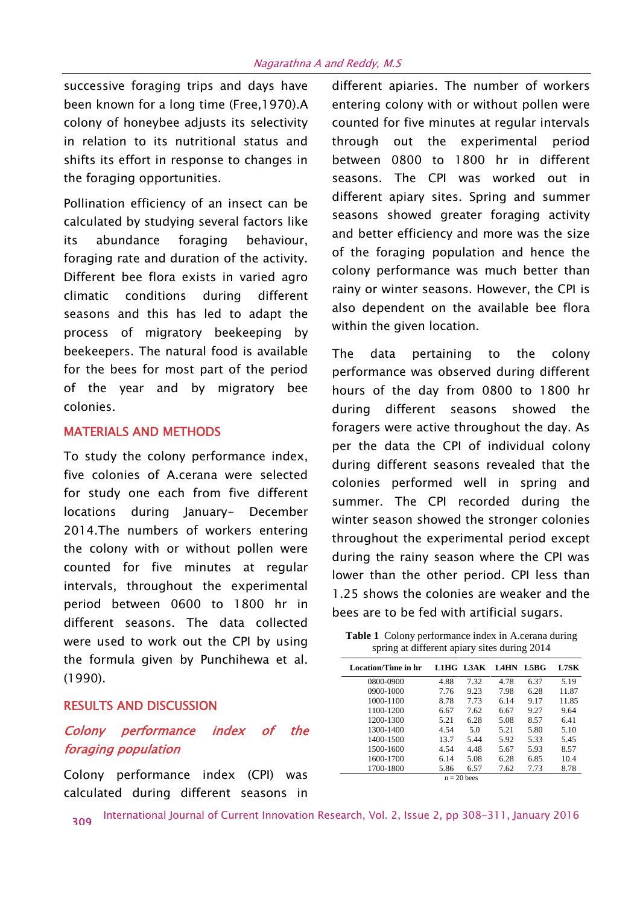successive foraging trips and days have been known for a long time (Free,1970).A colony of honeybee adjusts its selectivity in relation to its nutritional status and shifts its effort in response to changes in the foraging opportunities.

Pollination efficiency of an insect can be calculated by studying several factors like its abundance foraging behaviour, foraging rate and duration of the activity. Different bee flora exists in varied agro climatic conditions during different seasons and this has led to adapt the process of migratory beekeeping by beekeepers. The natural food is available for the bees for most part of the period of the year and by migratory bee colonies.

#### **MATERIALS AND METHODS**

To study the colony performance index, five colonies of A.cerana were selected for study one each from five different locations during January- December 2014.The numbers of workers entering the colony with or without pollen were counted for five minutes at regular intervals, throughout the experimental period between 0600 to 1800 hr in different seasons. The data collected were used to work out the CPI by using the formula given by Punchihewa et al. (1990).

#### **RESULTS AND DISCUSSION**

## *Colony performance index of the foraging population*

Colony performance index (CPI) was calculated during different seasons in

different apiaries. The number of workers entering colony with or without pollen were counted for five minutes at regular intervals through out the experimental period between 0800 to 1800 hr in different seasons. The CPI was worked out in different apiary sites. Spring and summer seasons showed greater foraging activity and better efficiency and more was the size of the foraging population and hence the colony performance was much better than rainy or winter seasons. However, the CPI is also dependent on the available bee flora within the given location.

The data pertaining to the colony performance was observed during different hours of the day from 0800 to 1800 hr during different seasons showed the foragers were active throughout the day. As per the data the CPI of individual colony during different seasons revealed that the colonies performed well in spring and summer. The CPI recorded during the winter season showed the stronger colonies throughout the experimental period except during the rainy season where the CPI was lower than the other period. CPI less than 1.25 shows the colonies are weaker and the bees are to be fed with artificial sugars.

**Table 1** Colony performance index in A.cerana during spring at different apiary sites during 2014

| Location/Time in hr |      |               | L1HG L3AK L4HN L5BG |      | L7SK  |
|---------------------|------|---------------|---------------------|------|-------|
| 0800-0900           | 4.88 | 7.32          | 4.78                | 6.37 | 5.19  |
| 0900-1000           | 7.76 | 9.23          | 7.98                | 6.28 | 11.87 |
| 1000-1100           | 8.78 | 7.73          | 6.14                | 9.17 | 11.85 |
| 1100-1200           | 6.67 | 7.62          | 6.67                | 9.27 | 9.64  |
| 1200-1300           | 5.21 | 6.28          | 5.08                | 8.57 | 6.41  |
| 1300-1400           | 4.54 | 5.0           | 5.21                | 5.80 | 5.10  |
| 1400-1500           | 13.7 | 5.44          | 5.92                | 5.33 | 5.45  |
| 1500-1600           | 4.54 | 4.48          | 5.67                | 5.93 | 8.57  |
| 1600-1700           | 6.14 | 5.08          | 6.28                | 6.85 | 10.4  |
| 1700-1800           | 5.86 | 6.57          | 7.62                | 7.73 | 8.78  |
|                     |      | $n = 20$ bees |                     |      |       |

International Journal of Current Innovation Research, Vol. 2, Issue 2, pp 308-311, January 2016 **<sup>309</sup>**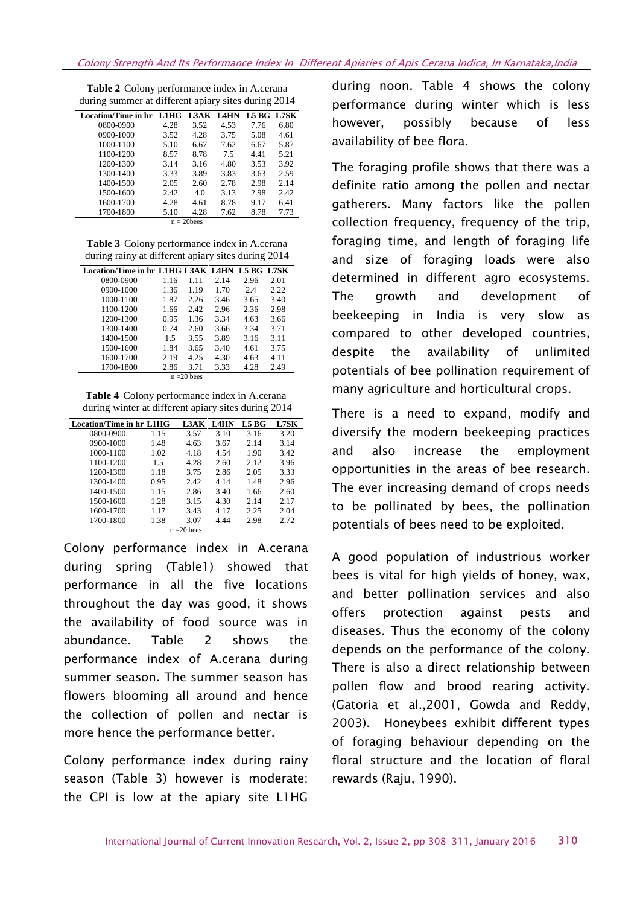| Location/Time in hr L1HG |      |      | L3AK L4HN | L5 BG L7SK |      |  |
|--------------------------|------|------|-----------|------------|------|--|
| 0800-0900                | 4.28 | 3.52 | 4.53      | 7.76       | 6.80 |  |
| 0900-1000                | 3.52 | 4.28 | 3.75      | 5.08       | 4.61 |  |
| 1000-1100                | 5.10 | 6.67 | 7.62      | 6.67       | 5.87 |  |
| 1100-1200                | 8.57 | 8.78 | 7.5       | 4.41       | 5.21 |  |
| 1200-1300                | 3.14 | 3.16 | 4.80      | 3.53       | 3.92 |  |
| 1300-1400                | 3.33 | 3.89 | 3.83      | 3.63       | 2.59 |  |
| 1400-1500                | 2.05 | 2.60 | 2.78      | 2.98       | 2.14 |  |
| 1500-1600                | 2.42 | 4.0  | 3.13      | 2.98       | 2.42 |  |
| 1600-1700                | 4.28 | 4.61 | 8.78      | 9.17       | 6.41 |  |
| 1700-1800                | 5.10 | 4.28 | 7.62      | 8.78       | 7.73 |  |
| $n = 20$ bees            |      |      |           |            |      |  |

**Table 2** Colony performance index in A.cerana during summer at different apiary sites during 2014

**Table 3** Colony performance index in A.cerana during rainy at different apiary sites during 2014

| Location/Time in hr L1HG L3AK L4HN L5 BG L7SK |      |      |      |      |      |  |  |
|-----------------------------------------------|------|------|------|------|------|--|--|
| 0800-0900                                     | 1.16 | 1.11 | 2.14 | 2.96 | 2.01 |  |  |
| 0900-1000                                     | 1.36 | 1.19 | 1.70 | 2.4  | 2.22 |  |  |
| 1000-1100                                     | 1.87 | 2.26 | 3.46 | 3.65 | 3.40 |  |  |
| 1100-1200                                     | 1.66 | 2.42 | 2.96 | 2.36 | 2.98 |  |  |
| 1200-1300                                     | 0.95 | 1.36 | 3.34 | 4.63 | 3.66 |  |  |
| 1300-1400                                     | 0.74 | 2.60 | 3.66 | 3.34 | 3.71 |  |  |
| 1400-1500                                     | 1.5  | 3.55 | 3.89 | 3.16 | 3.11 |  |  |
| 1500-1600                                     | 1.84 | 3.65 | 3.40 | 4.61 | 3.75 |  |  |
| 1600-1700                                     | 2.19 | 4.25 | 4.30 | 4.63 | 4.11 |  |  |
| 1700-1800                                     | 2.86 | 3.71 | 3.33 | 4.28 | 2.49 |  |  |
| $n = 20$ bees                                 |      |      |      |      |      |  |  |

**Table 4** Colony performance index in A.cerana during winter at different apiary sites during 2014

|               | Location/Time in hr L1HG |      | L3AK | <b>L4HN</b> | L5 <sub>BG</sub> | <b>L7SK</b> |  |
|---------------|--------------------------|------|------|-------------|------------------|-------------|--|
|               | 0800-0900                | 1.15 | 3.57 | 3.10        | 3.16             | 3.20        |  |
|               | 0900-1000                | 1.48 | 4.63 | 3.67        | 2.14             | 3.14        |  |
|               | 1000-1100                | 1.02 | 4.18 | 4.54        | 1.90             | 3.42        |  |
|               | 1100-1200                | 1.5  | 4.28 | 2.60        | 2.12             | 3.96        |  |
|               | 1200-1300                | 1.18 | 3.75 | 2.86        | 2.05             | 3.33        |  |
|               | 1300-1400                | 0.95 | 2.42 | 4.14        | 1.48             | 2.96        |  |
|               | 1400-1500                | 1.15 | 2.86 | 3.40        | 1.66             | 2.60        |  |
|               | 1500-1600                | 1.28 | 3.15 | 4.30        | 2.14             | 2.17        |  |
|               | 1600-1700                | 1.17 | 3.43 | 4.17        | 2.25             | 2.04        |  |
|               | 1700-1800                | 1.38 | 3.07 | 4.44        | 2.98             | 2.72        |  |
| $n = 20$ bees |                          |      |      |             |                  |             |  |

Colony performance index in A.cerana during spring (Table1) showed that performance in all the five locations throughout the day was good, it shows the availability of food source was in abundance. Table 2 shows the performance index of A.cerana during summer season. The summer season has flowers blooming all around and hence the collection of pollen and nectar is more hence the performance better.

Colony performance index during rainy season (Table 3) however is moderate; the CPI is low at the apiary site L1HG

during noon. Table 4 shows the colony performance during winter which is less however, possibly because of less availability of bee flora.

The foraging profile shows that there was a definite ratio among the pollen and nectar gatherers. Many factors like the pollen collection frequency, frequency of the trip, foraging time, and length of foraging life and size of foraging loads were also determined in different agro ecosystems. The growth and development of beekeeping in India is very slow as compared to other developed countries, despite the availability of unlimited potentials of bee pollination requirement of many agriculture and horticultural crops.

There is a need to expand, modify and diversify the modern beekeeping practices and also increase the employment opportunities in the areas of bee research. The ever increasing demand of crops needs to be pollinated by bees, the pollination potentials of bees need to be exploited.

A good population of industrious worker bees is vital for high yields of honey, wax, and better pollination services and also offers protection against pests and diseases. Thus the economy of the colony depends on the performance of the colony. There is also a direct relationship between pollen flow and brood rearing activity. (Gatoria et al.,2001, Gowda and Reddy, 2003). Honeybees exhibit different types of foraging behaviour depending on the floral structure and the location of floral rewards (Raju, 1990).